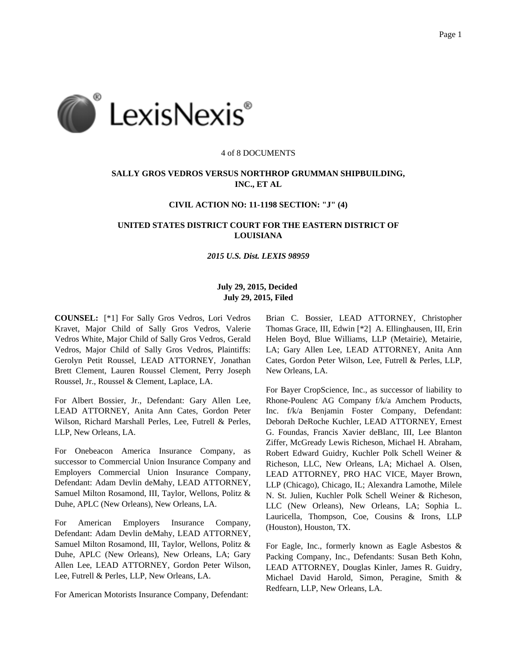

#### 4 of 8 DOCUMENTS

# **SALLY GROS VEDROS VERSUS NORTHROP GRUMMAN SHIPBUILDING, INC., ET AL**

## **CIVIL ACTION NO: 11-1198 SECTION: "J" (4)**

## **UNITED STATES DISTRICT COURT FOR THE EASTERN DISTRICT OF LOUISIANA**

#### *2015 U.S. Dist. LEXIS 98959*

## **July 29, 2015, Decided July 29, 2015, Filed**

**COUNSEL:** [\*1] For Sally Gros Vedros, Lori Vedros Kravet, Major Child of Sally Gros Vedros, Valerie Vedros White, Major Child of Sally Gros Vedros, Gerald Vedros, Major Child of Sally Gros Vedros, Plaintiffs: Gerolyn Petit Roussel, LEAD ATTORNEY, Jonathan Brett Clement, Lauren Roussel Clement, Perry Joseph Roussel, Jr., Roussel & Clement, Laplace, LA.

For Albert Bossier, Jr., Defendant: Gary Allen Lee, LEAD ATTORNEY, Anita Ann Cates, Gordon Peter Wilson, Richard Marshall Perles, Lee, Futrell & Perles, LLP, New Orleans, LA.

For Onebeacon America Insurance Company, as successor to Commercial Union Insurance Company and Employers Commercial Union Insurance Company, Defendant: Adam Devlin deMahy, LEAD ATTORNEY, Samuel Milton Rosamond, III, Taylor, Wellons, Politz & Duhe, APLC (New Orleans), New Orleans, LA.

For American Employers Insurance Company, Defendant: Adam Devlin deMahy, LEAD ATTORNEY, Samuel Milton Rosamond, III, Taylor, Wellons, Politz & Duhe, APLC (New Orleans), New Orleans, LA; Gary Allen Lee, LEAD ATTORNEY, Gordon Peter Wilson, Lee, Futrell & Perles, LLP, New Orleans, LA.

For American Motorists Insurance Company, Defendant:

Brian C. Bossier, LEAD ATTORNEY, Christopher Thomas Grace, III, Edwin [\*2] A. Ellinghausen, III, Erin Helen Boyd, Blue Williams, LLP (Metairie), Metairie, LA; Gary Allen Lee, LEAD ATTORNEY, Anita Ann Cates, Gordon Peter Wilson, Lee, Futrell & Perles, LLP, New Orleans, LA.

For Bayer CropScience, Inc., as successor of liability to Rhone-Poulenc AG Company f/k/a Amchem Products, Inc. f/k/a Benjamin Foster Company, Defendant: Deborah DeRoche Kuchler, LEAD ATTORNEY, Ernest G. Foundas, Francis Xavier deBlanc, III, Lee Blanton Ziffer, McGready Lewis Richeson, Michael H. Abraham, Robert Edward Guidry, Kuchler Polk Schell Weiner & Richeson, LLC, New Orleans, LA; Michael A. Olsen, LEAD ATTORNEY, PRO HAC VICE, Mayer Brown, LLP (Chicago), Chicago, IL; Alexandra Lamothe, Milele N. St. Julien, Kuchler Polk Schell Weiner & Richeson, LLC (New Orleans), New Orleans, LA; Sophia L. Lauricella, Thompson, Coe, Cousins & Irons, LLP (Houston), Houston, TX.

For Eagle, Inc., formerly known as Eagle Asbestos & Packing Company, Inc., Defendants: Susan Beth Kohn, LEAD ATTORNEY, Douglas Kinler, James R. Guidry, Michael David Harold, Simon, Peragine, Smith & Redfearn, LLP, New Orleans, LA.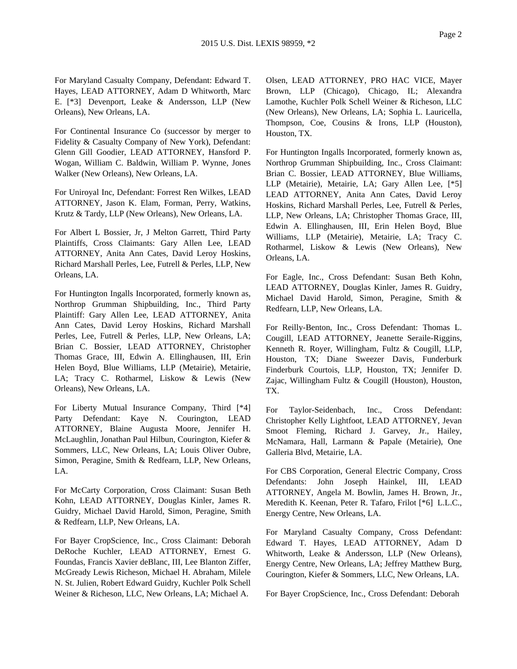For Maryland Casualty Company, Defendant: Edward T. Hayes, LEAD ATTORNEY, Adam D Whitworth, Marc E. [\*3] Devenport, Leake & Andersson, LLP (New Orleans), New Orleans, LA.

For Continental Insurance Co (successor by merger to Fidelity & Casualty Company of New York), Defendant: Glenn Gill Goodier, LEAD ATTORNEY, Hansford P. Wogan, William C. Baldwin, William P. Wynne, Jones Walker (New Orleans), New Orleans, LA.

For Uniroyal Inc, Defendant: Forrest Ren Wilkes, LEAD ATTORNEY, Jason K. Elam, Forman, Perry, Watkins, Krutz & Tardy, LLP (New Orleans), New Orleans, LA.

For Albert L Bossier, Jr, J Melton Garrett, Third Party Plaintiffs, Cross Claimants: Gary Allen Lee, LEAD ATTORNEY, Anita Ann Cates, David Leroy Hoskins, Richard Marshall Perles, Lee, Futrell & Perles, LLP, New Orleans, LA.

For Huntington Ingalls Incorporated, formerly known as, Northrop Grumman Shipbuilding, Inc., Third Party Plaintiff: Gary Allen Lee, LEAD ATTORNEY, Anita Ann Cates, David Leroy Hoskins, Richard Marshall Perles, Lee, Futrell & Perles, LLP, New Orleans, LA; Brian C. Bossier, LEAD ATTORNEY, Christopher Thomas Grace, III, Edwin A. Ellinghausen, III, Erin Helen Boyd, Blue Williams, LLP (Metairie), Metairie, LA; Tracy C. Rotharmel, Liskow & Lewis (New Orleans), New Orleans, LA.

For Liberty Mutual Insurance Company, Third [\*4] Party Defendant: Kaye N. Courington, LEAD ATTORNEY, Blaine Augusta Moore, Jennifer H. McLaughlin, Jonathan Paul Hilbun, Courington, Kiefer & Sommers, LLC, New Orleans, LA; Louis Oliver Oubre, Simon, Peragine, Smith & Redfearn, LLP, New Orleans, LA.

For McCarty Corporation, Cross Claimant: Susan Beth Kohn, LEAD ATTORNEY, Douglas Kinler, James R. Guidry, Michael David Harold, Simon, Peragine, Smith & Redfearn, LLP, New Orleans, LA.

For Bayer CropScience, Inc., Cross Claimant: Deborah DeRoche Kuchler, LEAD ATTORNEY, Ernest G. Foundas, Francis Xavier deBlanc, III, Lee Blanton Ziffer, McGready Lewis Richeson, Michael H. Abraham, Milele N. St. Julien, Robert Edward Guidry, Kuchler Polk Schell Weiner & Richeson, LLC, New Orleans, LA; Michael A.

Olsen, LEAD ATTORNEY, PRO HAC VICE, Mayer Brown, LLP (Chicago), Chicago, IL; Alexandra Lamothe, Kuchler Polk Schell Weiner & Richeson, LLC (New Orleans), New Orleans, LA; Sophia L. Lauricella, Thompson, Coe, Cousins & Irons, LLP (Houston), Houston, TX.

For Huntington Ingalls Incorporated, formerly known as, Northrop Grumman Shipbuilding, Inc., Cross Claimant: Brian C. Bossier, LEAD ATTORNEY, Blue Williams, LLP (Metairie), Metairie, LA; Gary Allen Lee, [\*5] LEAD ATTORNEY, Anita Ann Cates, David Leroy Hoskins, Richard Marshall Perles, Lee, Futrell & Perles, LLP, New Orleans, LA; Christopher Thomas Grace, III, Edwin A. Ellinghausen, III, Erin Helen Boyd, Blue Williams, LLP (Metairie), Metairie, LA; Tracy C. Rotharmel, Liskow & Lewis (New Orleans), New Orleans, LA.

For Eagle, Inc., Cross Defendant: Susan Beth Kohn, LEAD ATTORNEY, Douglas Kinler, James R. Guidry, Michael David Harold, Simon, Peragine, Smith & Redfearn, LLP, New Orleans, LA.

For Reilly-Benton, Inc., Cross Defendant: Thomas L. Cougill, LEAD ATTORNEY, Jeanette Seraile-Riggins, Kenneth R. Royer, Willingham, Fultz & Cougill, LLP, Houston, TX; Diane Sweezer Davis, Funderburk Finderburk Courtois, LLP, Houston, TX; Jennifer D. Zajac, Willingham Fultz & Cougill (Houston), Houston, TX.

For Taylor-Seidenbach, Inc., Cross Defendant: Christopher Kelly Lightfoot, LEAD ATTORNEY, Jevan Smoot Fleming, Richard J. Garvey, Jr., Hailey, McNamara, Hall, Larmann & Papale (Metairie), One Galleria Blvd, Metairie, LA.

For CBS Corporation, General Electric Company, Cross Defendants: John Joseph Hainkel, III, LEAD ATTORNEY, Angela M. Bowlin, James H. Brown, Jr., Meredith K. Keenan, Peter R. Tafaro, Frilot [\*6] L.L.C., Energy Centre, New Orleans, LA.

For Maryland Casualty Company, Cross Defendant: Edward T. Hayes, LEAD ATTORNEY, Adam D Whitworth, Leake & Andersson, LLP (New Orleans), Energy Centre, New Orleans, LA; Jeffrey Matthew Burg, Courington, Kiefer & Sommers, LLC, New Orleans, LA.

For Bayer CropScience, Inc., Cross Defendant: Deborah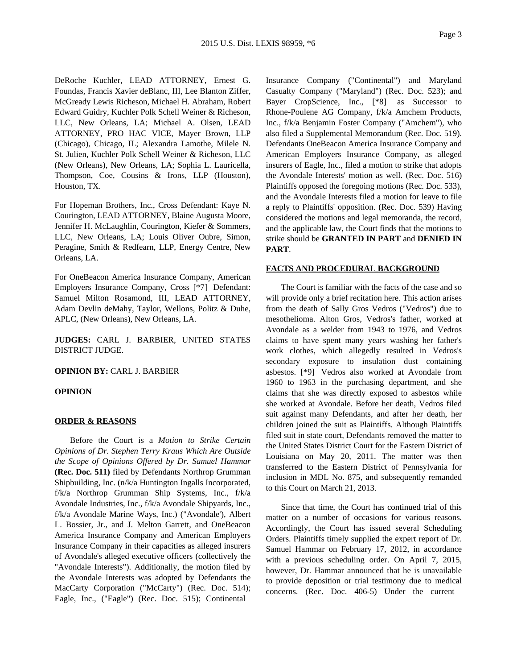DeRoche Kuchler, LEAD ATTORNEY, Ernest G. Foundas, Francis Xavier deBlanc, III, Lee Blanton Ziffer, McGready Lewis Richeson, Michael H. Abraham, Robert Edward Guidry, Kuchler Polk Schell Weiner & Richeson, LLC, New Orleans, LA; Michael A. Olsen, LEAD ATTORNEY, PRO HAC VICE, Mayer Brown, LLP (Chicago), Chicago, IL; Alexandra Lamothe, Milele N. St. Julien, Kuchler Polk Schell Weiner & Richeson, LLC (New Orleans), New Orleans, LA; Sophia L. Lauricella, Thompson, Coe, Cousins & Irons, LLP (Houston), Houston, TX.

For Hopeman Brothers, Inc., Cross Defendant: Kaye N. Courington, LEAD ATTORNEY, Blaine Augusta Moore, Jennifer H. McLaughlin, Courington, Kiefer & Sommers, LLC, New Orleans, LA; Louis Oliver Oubre, Simon, Peragine, Smith & Redfearn, LLP, Energy Centre, New Orleans, LA.

For OneBeacon America Insurance Company, American Employers Insurance Company, Cross [\*7] Defendant: Samuel Milton Rosamond, III, LEAD ATTORNEY, Adam Devlin deMahy, Taylor, Wellons, Politz & Duhe, APLC, (New Orleans), New Orleans, LA.

**JUDGES:** CARL J. BARBIER, UNITED STATES DISTRICT JUDGE.

## **OPINION BY:** CARL J. BARBIER

#### **OPINION**

#### **ORDER & REASONS**

Before the Court is a *Motion to Strike Certain Opinions of Dr. Stephen Terry Kraus Which Are Outside the Scope of Opinions Offered by Dr. Samuel Hammar* **(Rec. Doc. 511)** filed by Defendants Northrop Grumman Shipbuilding, Inc. (n/k/a Huntington Ingalls Incorporated, f/k/a Northrop Grumman Ship Systems, Inc., f/k/a Avondale Industries, Inc., f/k/a Avondale Shipyards, Inc., f/k/a Avondale Marine Ways, Inc.) ("Avondale'), Albert L. Bossier, Jr., and J. Melton Garrett, and OneBeacon America Insurance Company and American Employers Insurance Company in their capacities as alleged insurers of Avondale's alleged executive officers (collectively the "Avondale Interests"). Additionally, the motion filed by the Avondale Interests was adopted by Defendants the MacCarty Corporation ("McCarty") (Rec. Doc. 514); Eagle, Inc., ("Eagle") (Rec. Doc. 515); Continental

Insurance Company ("Continental") and Maryland Casualty Company ("Maryland") (Rec. Doc. 523); and Bayer CropScience, Inc., [\*8] as Successor to Rhone-Poulene AG Company, f/k/a Amchem Products, Inc., f/k/a Benjamin Foster Company ("Amchem"), who also filed a Supplemental Memorandum (Rec. Doc. 519). Defendants OneBeacon America Insurance Company and American Employers Insurance Company, as alleged insurers of Eagle, Inc., filed a motion to strike that adopts the Avondale Interests' motion as well. (Rec. Doc. 516) Plaintiffs opposed the foregoing motions (Rec. Doc. 533), and the Avondale Interests filed a motion for leave to file a reply to Plaintiffs' opposition. (Rec. Doc. 539) Having considered the motions and legal memoranda, the record, and the applicable law, the Court finds that the motions to strike should be **GRANTED IN PART** and **DENIED IN PART**.

#### **FACTS AND PROCEDURAL BACKGROUND**

The Court is familiar with the facts of the case and so will provide only a brief recitation here. This action arises from the death of Sally Gros Vedros ("Vedros") due to mesothelioma. Alton Gros, Vedros's father, worked at Avondale as a welder from 1943 to 1976, and Vedros claims to have spent many years washing her father's work clothes, which allegedly resulted in Vedros's secondary exposure to insulation dust containing asbestos. [\*9] Vedros also worked at Avondale from 1960 to 1963 in the purchasing department, and she claims that she was directly exposed to asbestos while she worked at Avondale. Before her death, Vedros filed suit against many Defendants, and after her death, her children joined the suit as Plaintiffs. Although Plaintiffs filed suit in state court, Defendants removed the matter to the United States District Court for the Eastern District of Louisiana on May 20, 2011. The matter was then transferred to the Eastern District of Pennsylvania for inclusion in MDL No. 875, and subsequently remanded to this Court on March 21, 2013.

Since that time, the Court has continued trial of this matter on a number of occasions for various reasons. Accordingly, the Court has issued several Scheduling Orders. Plaintiffs timely supplied the expert report of Dr. Samuel Hammar on February 17, 2012, in accordance with a previous scheduling order. On April 7, 2015, however, Dr. Hammar announced that he is unavailable to provide deposition or trial testimony due to medical concerns. (Rec. Doc. 406-5) Under the current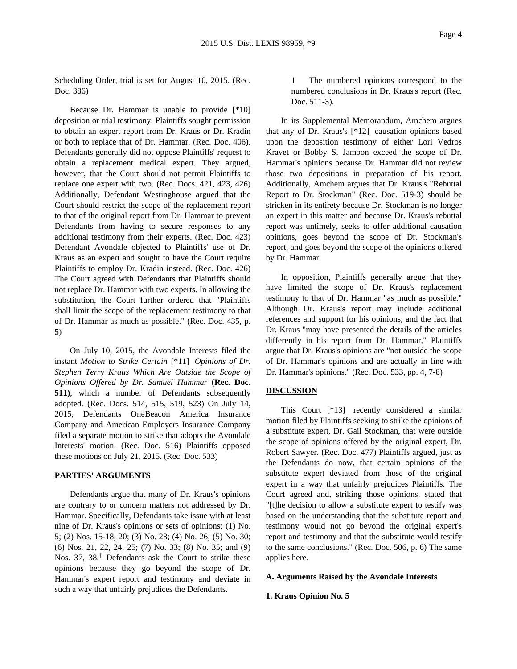Scheduling Order, trial is set for August 10, 2015. (Rec. Doc. 386)

Because Dr. Hammar is unable to provide [\*10] deposition or trial testimony, Plaintiffs sought permission to obtain an expert report from Dr. Kraus or Dr. Kradin or both to replace that of Dr. Hammar. (Rec. Doc. 406). Defendants generally did not oppose Plaintiffs' request to obtain a replacement medical expert. They argued, however, that the Court should not permit Plaintiffs to replace one expert with two. (Rec. Docs. 421, 423, 426) Additionally, Defendant Westinghouse argued that the Court should restrict the scope of the replacement report to that of the original report from Dr. Hammar to prevent Defendants from having to secure responses to any additional testimony from their experts. (Rec. Doc. 423) Defendant Avondale objected to Plaintiffs' use of Dr. Kraus as an expert and sought to have the Court require Plaintiffs to employ Dr. Kradin instead. (Rec. Doc. 426) The Court agreed with Defendants that Plaintiffs should not replace Dr. Hammar with two experts. In allowing the substitution, the Court further ordered that "Plaintiffs shall limit the scope of the replacement testimony to that of Dr. Hammar as much as possible." (Rec. Doc. 435, p. 5)

On July 10, 2015, the Avondale Interests filed the instant *Motion to Strike Certain* [\*11] *Opinions of Dr. Stephen Terry Kraus Which Are Outside the Scope of Opinions Offered by Dr. Samuel Hammar* **(Rec. Doc. 511)**, which a number of Defendants subsequently adopted. (Rec. Docs. 514, 515, 519, 523) On July 14, 2015, Defendants OneBeacon America Insurance Company and American Employers Insurance Company filed a separate motion to strike that adopts the Avondale Interests' motion. (Rec. Doc. 516) Plaintiffs opposed these motions on July 21, 2015. (Rec. Doc. 533)

## **PARTIES' ARGUMENTS**

Defendants argue that many of Dr. Kraus's opinions are contrary to or concern matters not addressed by Dr. Hammar. Specifically, Defendants take issue with at least nine of Dr. Kraus's opinions or sets of opinions: (1) No. 5; (2) Nos. 15-18, 20; (3) No. 23; (4) No. 26; (5) No. 30; (6) Nos. 21, 22, 24, 25; (7) No. 33; (8) No. 35; and (9) Nos. 37, 38.<sup>1</sup> Defendants ask the Court to strike these opinions because they go beyond the scope of Dr. Hammar's expert report and testimony and deviate in such a way that unfairly prejudices the Defendants.

1 The numbered opinions correspond to the numbered conclusions in Dr. Kraus's report (Rec. Doc. 511-3).

In its Supplemental Memorandum, Amchem argues that any of Dr. Kraus's [\*12] causation opinions based upon the deposition testimony of either Lori Vedros Kravet or Bobby S. Jambon exceed the scope of Dr. Hammar's opinions because Dr. Hammar did not review those two depositions in preparation of his report. Additionally, Amchem argues that Dr. Kraus's "Rebuttal Report to Dr. Stockman" (Rec. Doc. 519-3) should be stricken in its entirety because Dr. Stockman is no longer an expert in this matter and because Dr. Kraus's rebuttal report was untimely, seeks to offer additional causation opinions, goes beyond the scope of Dr. Stockman's report, and goes beyond the scope of the opinions offered by Dr. Hammar.

In opposition, Plaintiffs generally argue that they have limited the scope of Dr. Kraus's replacement testimony to that of Dr. Hammar "as much as possible." Although Dr. Kraus's report may include additional references and support for his opinions, and the fact that Dr. Kraus "may have presented the details of the articles differently in his report from Dr. Hammar," Plaintiffs argue that Dr. Kraus's opinions are "not outside the scope of Dr. Hammar's opinions and are actually in line with Dr. Hammar's opinions." (Rec. Doc. 533, pp. 4, 7-8)

## **DISCUSSION**

This Court [\*13] recently considered a similar motion filed by Plaintiffs seeking to strike the opinions of a substitute expert, Dr. Gail Stockman, that were outside the scope of opinions offered by the original expert, Dr. Robert Sawyer. (Rec. Doc. 477) Plaintiffs argued, just as the Defendants do now, that certain opinions of the substitute expert deviated from those of the original expert in a way that unfairly prejudices Plaintiffs. The Court agreed and, striking those opinions, stated that "[t]he decision to allow a substitute expert to testify was based on the understanding that the substitute report and testimony would not go beyond the original expert's report and testimony and that the substitute would testify to the same conclusions." (Rec. Doc. 506, p. 6) The same applies here.

## **A. Arguments Raised by the Avondale Interests**

### **1. Kraus Opinion No. 5**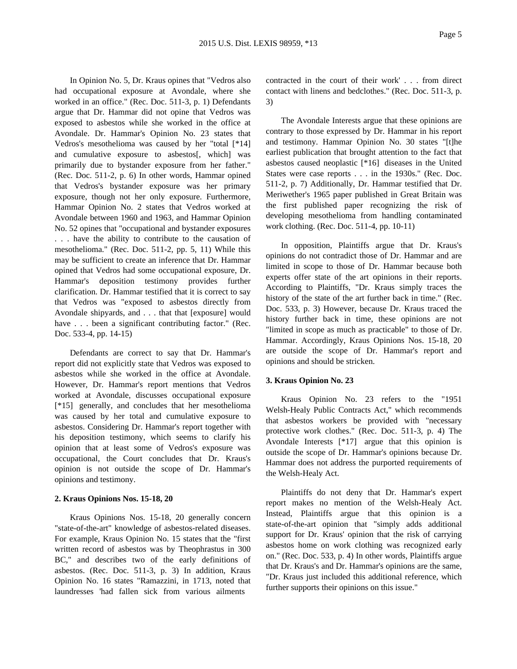In Opinion No. 5, Dr. Kraus opines that "Vedros also had occupational exposure at Avondale, where she worked in an office." (Rec. Doc. 511-3, p. 1) Defendants argue that Dr. Hammar did not opine that Vedros was exposed to asbestos while she worked in the office at Avondale. Dr. Hammar's Opinion No. 23 states that Vedros's mesothelioma was caused by her "total [\*14] and cumulative exposure to asbestos[, which] was primarily due to bystander exposure from her father." (Rec. Doc. 511-2, p. 6) In other words, Hammar opined that Vedros's bystander exposure was her primary exposure, though not her only exposure. Furthermore, Hammar Opinion No. 2 states that Vedros worked at Avondale between 1960 and 1963, and Hammar Opinion No. 52 opines that "occupational and bystander exposures . . . have the ability to contribute to the causation of mesothelioma." (Rec. Doc. 511-2, pp. 5, 11) While this may be sufficient to create an inference that Dr. Hammar opined that Vedros had some occupational exposure, Dr. Hammar's deposition testimony provides further clarification. Dr. Hammar testified that it is correct to say that Vedros was "exposed to asbestos directly from Avondale shipyards, and . . . that that [exposure] would have . . . been a significant contributing factor." (Rec. Doc. 533-4, pp. 14-15)

Defendants are correct to say that Dr. Hammar's report did not explicitly state that Vedros was exposed to asbestos while she worked in the office at Avondale. However, Dr. Hammar's report mentions that Vedros worked at Avondale, discusses occupational exposure [\*15] generally, and concludes that her mesothelioma was caused by her total and cumulative exposure to asbestos. Considering Dr. Hammar's report together with his deposition testimony, which seems to clarify his opinion that at least some of Vedros's exposure was occupational, the Court concludes that Dr. Kraus's opinion is not outside the scope of Dr. Hammar's opinions and testimony.

#### **2. Kraus Opinions Nos. 15-18, 20**

Kraus Opinions Nos. 15-18, 20 generally concern "state-of-the-art" knowledge of asbestos-related diseases. For example, Kraus Opinion No. 15 states that the "first written record of asbestos was by Theophrastus in 300 BC," and describes two of the early definitions of asbestos. (Rec. Doc. 511-3, p. 3) In addition, Kraus Opinion No. 16 states "Ramazzini, in 1713, noted that laundresses 'had fallen sick from various ailments

contracted in the court of their work' . . . from direct contact with linens and bedclothes." (Rec. Doc. 511-3, p. 3)

The Avondale Interests argue that these opinions are contrary to those expressed by Dr. Hammar in his report and testimony. Hammar Opinion No. 30 states "[t]he earliest publication that brought attention to the fact that asbestos caused neoplastic [\*16] diseases in the United States were case reports . . . in the 1930s." (Rec. Doc. 511-2, p. 7) Additionally, Dr. Hammar testified that Dr. Meriwether's 1965 paper published in Great Britain was the first published paper recognizing the risk of developing mesothelioma from handling contaminated work clothing. (Rec. Doc. 511-4, pp. 10-11)

In opposition, Plaintiffs argue that Dr. Kraus's opinions do not contradict those of Dr. Hammar and are limited in scope to those of Dr. Hammar because both experts offer state of the art opinions in their reports. According to Plaintiffs, "Dr. Kraus simply traces the history of the state of the art further back in time." (Rec. Doc. 533, p. 3) However, because Dr. Kraus traced the history further back in time, these opinions are not "limited in scope as much as practicable" to those of Dr. Hammar. Accordingly, Kraus Opinions Nos. 15-18, 20 are outside the scope of Dr. Hammar's report and opinions and should be stricken.

## **3. Kraus Opinion No. 23**

Kraus Opinion No. 23 refers to the "1951 Welsh-Healy Public Contracts Act," which recommends that asbestos workers be provided with "necessary protective work clothes." (Rec. Doc. 511-3, p. 4) The Avondale Interests [\*17] argue that this opinion is outside the scope of Dr. Hammar's opinions because Dr. Hammar does not address the purported requirements of the Welsh-Healy Act.

Plaintiffs do not deny that Dr. Hammar's expert report makes no mention of the Welsh-Healy Act. Instead, Plaintiffs argue that this opinion is a state-of-the-art opinion that "simply adds additional support for Dr. Kraus' opinion that the risk of carrying asbestos home on work clothing was recognized early on." (Rec. Doc. 533, p. 4) In other words, Plaintiffs argue that Dr. Kraus's and Dr. Hammar's opinions are the same, "Dr. Kraus just included this additional reference, which further supports their opinions on this issue."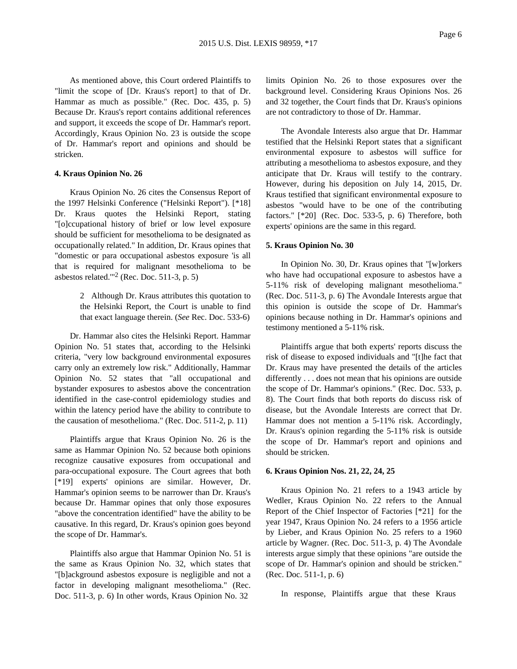As mentioned above, this Court ordered Plaintiffs to "limit the scope of [Dr. Kraus's report] to that of Dr. Hammar as much as possible." (Rec. Doc. 435, p. 5) Because Dr. Kraus's report contains additional references and support, it exceeds the scope of Dr. Hammar's report. Accordingly, Kraus Opinion No. 23 is outside the scope of Dr. Hammar's report and opinions and should be stricken.

## **4. Kraus Opinion No. 26**

Kraus Opinion No. 26 cites the Consensus Report of the 1997 Helsinki Conference ("Helsinki Report"). [\*18] Dr. Kraus quotes the Helsinki Report, stating "[o]ccupational history of brief or low level exposure should be sufficient for mesothelioma to be designated as occupationally related." In addition, Dr. Kraus opines that "domestic or para occupational asbestos exposure 'is all that is required for malignant mesothelioma to be asbestos related."<sup>2</sup> (Rec. Doc. 511-3, p. 5)

> 2 Although Dr. Kraus attributes this quotation to the Helsinki Report, the Court is unable to find that exact language therein. (*See* Rec. Doc. 533-6)

Dr. Hammar also cites the Helsinki Report. Hammar Opinion No. 51 states that, according to the Helsinki criteria, "very low background environmental exposures carry only an extremely low risk." Additionally, Hammar Opinion No. 52 states that "all occupational and bystander exposures to asbestos above the concentration identified in the case-control epidemiology studies and within the latency period have the ability to contribute to the causation of mesothelioma." (Rec. Doc. 511-2, p. 11)

Plaintiffs argue that Kraus Opinion No. 26 is the same as Hammar Opinion No. 52 because both opinions recognize causative exposures from occupational and para-occupational exposure. The Court agrees that both [\*19] experts' opinions are similar. However, Dr. Hammar's opinion seems to be narrower than Dr. Kraus's because Dr. Hammar opines that only those exposures "above the concentration identified" have the ability to be causative. In this regard, Dr. Kraus's opinion goes beyond the scope of Dr. Hammar's.

Plaintiffs also argue that Hammar Opinion No. 51 is the same as Kraus Opinion No. 32, which states that "[b]ackground asbestos exposure is negligible and not a factor in developing malignant mesothelioma." (Rec. Doc. 511-3, p. 6) In other words, Kraus Opinion No. 32

limits Opinion No. 26 to those exposures over the background level. Considering Kraus Opinions Nos. 26 and 32 together, the Court finds that Dr. Kraus's opinions are not contradictory to those of Dr. Hammar.

The Avondale Interests also argue that Dr. Hammar testified that the Helsinki Report states that a significant environmental exposure to asbestos will suffice for attributing a mesothelioma to asbestos exposure, and they anticipate that Dr. Kraus will testify to the contrary. However, during his deposition on July 14, 2015, Dr. Kraus testified that significant environmental exposure to asbestos "would have to be one of the contributing factors." [\*20] (Rec. Doc. 533-5, p. 6) Therefore, both experts' opinions are the same in this regard.

#### **5. Kraus Opinion No. 30**

In Opinion No. 30, Dr. Kraus opines that "[w]orkers who have had occupational exposure to asbestos have a 5-11% risk of developing malignant mesothelioma." (Rec. Doc. 511-3, p. 6) The Avondale Interests argue that this opinion is outside the scope of Dr. Hammar's opinions because nothing in Dr. Hammar's opinions and testimony mentioned a 5-11% risk.

Plaintiffs argue that both experts' reports discuss the risk of disease to exposed individuals and "[t]he fact that Dr. Kraus may have presented the details of the articles differently . . . does not mean that his opinions are outside the scope of Dr. Hammar's opinions." (Rec. Doc. 533, p. 8). The Court finds that both reports do discuss risk of disease, but the Avondale Interests are correct that Dr. Hammar does not mention a 5-11% risk. Accordingly, Dr. Kraus's opinion regarding the 5-11% risk is outside the scope of Dr. Hammar's report and opinions and should be stricken.

#### **6. Kraus Opinion Nos. 21, 22, 24, 25**

Kraus Opinion No. 21 refers to a 1943 article by Wedler, Kraus Opinion No. 22 refers to the Annual Report of the Chief Inspector of Factories [\*21] for the year 1947, Kraus Opinion No. 24 refers to a 1956 article by Lieber, and Kraus Opinion No. 25 refers to a 1960 article by Wagner. (Rec. Doc. 511-3, p. 4) The Avondale interests argue simply that these opinions "are outside the scope of Dr. Hammar's opinion and should be stricken." (Rec. Doc. 511-1, p. 6)

In response, Plaintiffs argue that these Kraus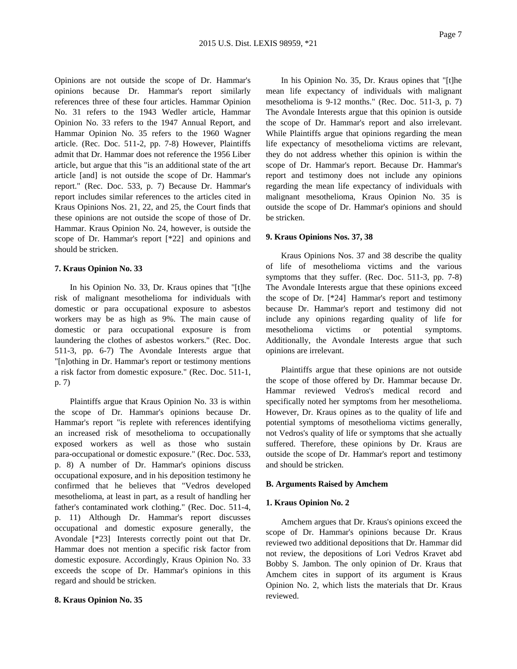Opinions are not outside the scope of Dr. Hammar's opinions because Dr. Hammar's report similarly references three of these four articles. Hammar Opinion No. 31 refers to the 1943 Wedler article, Hammar Opinion No. 33 refers to the 1947 Annual Report, and Hammar Opinion No. 35 refers to the 1960 Wagner article. (Rec. Doc. 511-2, pp. 7-8) However, Plaintiffs admit that Dr. Hammar does not reference the 1956 Liber article, but argue that this "is an additional state of the art article [and] is not outside the scope of Dr. Hammar's report." (Rec. Doc. 533, p. 7) Because Dr. Hammar's report includes similar references to the articles cited in Kraus Opinions Nos. 21, 22, and 25, the Court finds that these opinions are not outside the scope of those of Dr. Hammar. Kraus Opinion No. 24, however, is outside the scope of Dr. Hammar's report [\*22] and opinions and should be stricken.

## **7. Kraus Opinion No. 33**

In his Opinion No. 33, Dr. Kraus opines that "[t]he risk of malignant mesothelioma for individuals with domestic or para occupational exposure to asbestos workers may be as high as 9%. The main cause of domestic or para occupational exposure is from laundering the clothes of asbestos workers." (Rec. Doc. 511-3, pp. 6-7) The Avondale Interests argue that "[n]othing in Dr. Hammar's report or testimony mentions a risk factor from domestic exposure." (Rec. Doc. 511-1, p. 7)

Plaintiffs argue that Kraus Opinion No. 33 is within the scope of Dr. Hammar's opinions because Dr. Hammar's report "is replete with references identifying an increased risk of mesothelioma to occupationally exposed workers as well as those who sustain para-occupational or domestic exposure." (Rec. Doc. 533, p. 8) A number of Dr. Hammar's opinions discuss occupational exposure, and in his deposition testimony he confirmed that he believes that "Vedros developed mesothelioma, at least in part, as a result of handling her father's contaminated work clothing." (Rec. Doc. 511-4, p. 11) Although Dr. Hammar's report discusses occupational and domestic exposure generally, the Avondale [\*23] Interests correctly point out that Dr. Hammar does not mention a specific risk factor from domestic exposure. Accordingly, Kraus Opinion No. 33 exceeds the scope of Dr. Hammar's opinions in this regard and should be stricken.

## **8. Kraus Opinion No. 35**

In his Opinion No. 35, Dr. Kraus opines that "[t]he mean life expectancy of individuals with malignant mesothelioma is 9-12 months." (Rec. Doc. 511-3, p. 7) The Avondale Interests argue that this opinion is outside the scope of Dr. Hammar's report and also irrelevant. While Plaintiffs argue that opinions regarding the mean life expectancy of mesothelioma victims are relevant, they do not address whether this opinion is within the scope of Dr. Hammar's report. Because Dr. Hammar's report and testimony does not include any opinions regarding the mean life expectancy of individuals with malignant mesothelioma, Kraus Opinion No. 35 is outside the scope of Dr. Hammar's opinions and should be stricken.

#### **9. Kraus Opinions Nos. 37, 38**

Kraus Opinions Nos. 37 and 38 describe the quality of life of mesothelioma victims and the various symptoms that they suffer. (Rec. Doc. 511-3, pp. 7-8) The Avondale Interests argue that these opinions exceed the scope of Dr. [\*24] Hammar's report and testimony because Dr. Hammar's report and testimony did not include any opinions regarding quality of life for mesothelioma victims or potential symptoms. Additionally, the Avondale Interests argue that such opinions are irrelevant.

Plaintiffs argue that these opinions are not outside the scope of those offered by Dr. Hammar because Dr. Hammar reviewed Vedros's medical record and specifically noted her symptoms from her mesothelioma. However, Dr. Kraus opines as to the quality of life and potential symptoms of mesothelioma victims generally, not Vedros's quality of life or symptoms that she actually suffered. Therefore, these opinions by Dr. Kraus are outside the scope of Dr. Hammar's report and testimony and should be stricken.

## **B. Arguments Raised by Amchem**

#### **1. Kraus Opinion No. 2**

Amchem argues that Dr. Kraus's opinions exceed the scope of Dr. Hammar's opinions because Dr. Kraus reviewed two additional depositions that Dr. Hammar did not review, the depositions of Lori Vedros Kravet abd Bobby S. Jambon. The only opinion of Dr. Kraus that Amchem cites in support of its argument is Kraus Opinion No. 2, which lists the materials that Dr. Kraus reviewed.